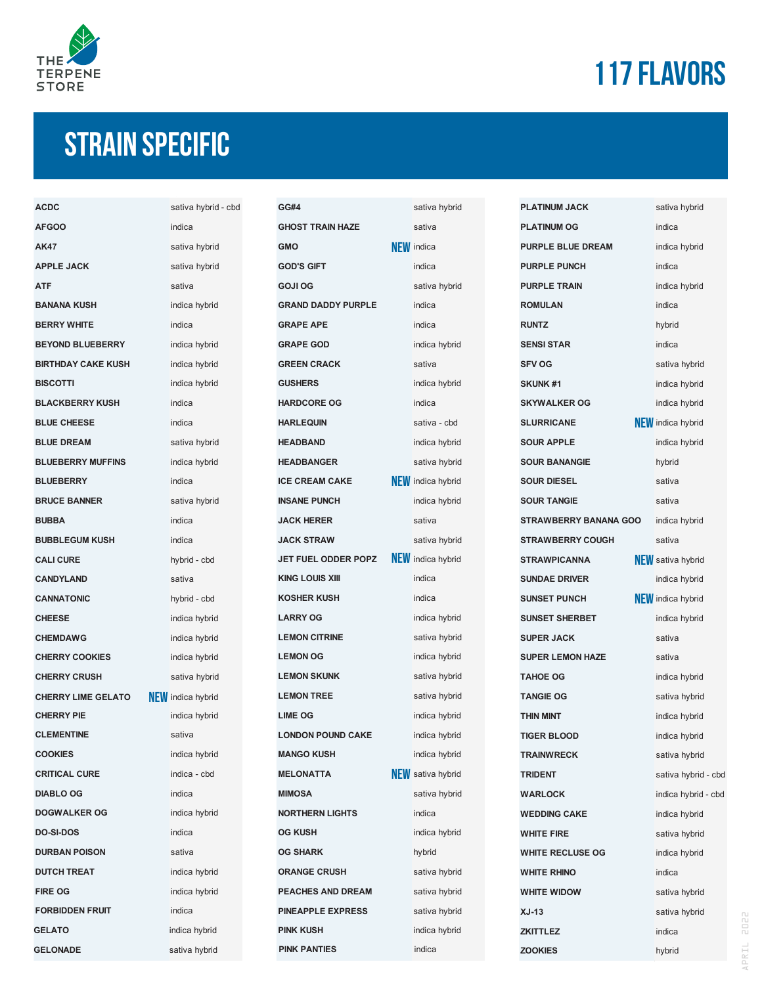

# **117 flavors**

### **STrain specific**

| <b>ACDC</b>               | sativa hybrid - cbd      |
|---------------------------|--------------------------|
| <b>AFGOO</b>              | indica                   |
| <b>AK47</b>               | sativa hybrid            |
| <b>APPLE JACK</b>         | sativa hybrid            |
| <b>ATF</b>                | sativa                   |
| <b>BANANA KUSH</b>        | indica hybrid            |
| <b>BERRY WHITE</b>        | indica                   |
| <b>BEYOND BLUEBERRY</b>   | indica hybrid            |
| <b>BIRTHDAY CAKE KUSH</b> | indica hybrid            |
| <b>BISCOTTI</b>           | indica hybrid            |
| <b>BLACKBERRY KUSH</b>    | indica                   |
| <b>BLUE CHEESE</b>        | indica                   |
| <b>BLUE DREAM</b>         | sativa hybrid            |
| <b>BLUEBERRY MUFFINS</b>  | indica hybrid            |
| <b>BLUEBERRY</b>          | indica                   |
| <b>BRUCE BANNER</b>       | sativa hybrid            |
| <b>BUBBA</b>              | indica                   |
| <b>BUBBLEGUM KUSH</b>     | indica                   |
| <b>CALI CURE</b>          | hybrid - cbd             |
| <b>CANDYLAND</b>          | sativa                   |
| <b>CANNATONIC</b>         | hybrid - cbd             |
| <b>CHEESE</b>             | indica hybrid            |
| <b>CHEMDAWG</b>           | indica hybrid            |
| <b>CHERRY COOKIES</b>     | indica hybrid            |
| <b>CHERRY CRUSH</b>       | sativa hybrid            |
| <b>CHERRY LIME GELATO</b> | <b>NEW</b> indica hybrid |
| <b>CHERRY PIE</b>         | indica hybrid            |
| <b>CLEMENTINE</b>         | sativa                   |
| <b>COOKIES</b>            | indica hybrid            |
| <b>CRITICAL CURE</b>      | indica - cbd             |
| <b>DIABLO OG</b>          | indica                   |
| <b>DOGWALKER OG</b>       | indica hybrid            |
| <b>DO-SI-DOS</b>          | indica                   |
| <b>DURBAN POISON</b>      | sativa                   |
| <b>DUTCH TREAT</b>        | indica hybrid            |
| <b>FIRE OG</b>            | indica hybrid            |
| <b>FORBIDDEN FRUIT</b>    | indica                   |
| <b>GELATO</b>             | indica hybrid            |
| <b>GELONADE</b>           | sativa hybrid            |

| <b>GG#4</b>                           | sativa hybrid            |
|---------------------------------------|--------------------------|
| <b>GHOST TRAIN HAZE</b>               | sativa                   |
| <b>GMO</b>                            | <b>NEW</b> indica        |
| <b>GOD'S GIFT</b>                     | indica                   |
| <b>GOJI OG</b>                        | sativa hybrid            |
| <b>GRAND DADDY PURPLE</b>             | indica                   |
| <b>GRAPE APE</b>                      | indica                   |
| <b>GRAPE GOD</b>                      | indica hybrid            |
| <b>GREEN CRACK</b>                    | sativa                   |
| <b>GUSHERS</b>                        | indica hybrid            |
| <b>HARDCORE OG</b>                    | indica                   |
| <b>HARLEQUIN</b>                      | sativa - cbd             |
| <b>HEADBAND</b>                       | indica hybrid            |
| <b>HEADBANGER</b>                     | sativa hybrid            |
| <b>ICE CREAM CAKE</b>                 | <b>NEW</b> indica hybrid |
| <b>INSANE PUNCH</b>                   | indica hybrid            |
| <b>JACK HERER</b>                     | sativa                   |
| <b>JACK STRAW</b>                     | sativa hybrid            |
| JET FUEL ODDER POPZ NEW indica hybrid |                          |
| <b>KING LOUIS XIII</b>                | indica                   |
| <b>KOSHER KUSH</b>                    | indica                   |
| <b>LARRY OG</b>                       | indica hybrid            |
| <b>LEMON CITRINE</b>                  | sativa hybrid            |
| <b>LEMON OG</b>                       | indica hybrid            |
| <b>LEMON SKUNK</b>                    | sativa hybrid            |
| <b>LEMON TREE</b>                     | sativa hybrid            |
| <b>LIME OG</b>                        | indica hybrid            |
| <b>LONDON POUND CAKE</b>              | indica hybrid            |
| <b>MANGO KUSH</b>                     | indica hybrid            |
| <b>MELONATTA</b>                      | <b>NEW</b> sativa hybrid |
| <b>MIMOSA</b>                         | sativa hybrid            |
| <b>NORTHERN LIGHTS</b>                | indica                   |
| <b>OG KUSH</b>                        | indica hybrid            |
| <b>OG SHARK</b>                       | hybrid                   |
| <b>ORANGE CRUSH</b>                   | sativa hybrid            |
| <b>PEACHES AND DREAM</b>              | sativa hybrid            |
| <b>PINEAPPLE EXPRESS</b>              | sativa hybrid            |
| <b>PINK KUSH</b>                      | indica hybrid            |
| <b>PINK PANTIES</b>                   | indica                   |

| sativa hybrid                           |
|-----------------------------------------|
| sativa                                  |
| <b>I</b> indica                         |
| indica                                  |
| sativa hybrid                           |
| indica                                  |
| indica                                  |
| indica hybrid                           |
| sativa                                  |
| indica hybrid                           |
| indica                                  |
| sativa - cbd                            |
| indica hybrid                           |
| sativa hybrid                           |
| <b></b> indica hybrid                   |
| indica hybrid                           |
| sativa                                  |
| sativa hybrid                           |
| $\boldsymbol{\mathsf{N}}$ indica hybrid |
| indica                                  |
| indica                                  |
| indica hybrid                           |
| sativa hybrid                           |
| indica hybrid                           |
| sativa hybrid                           |
| sativa hybrid                           |
| indica hybrid                           |
| indica hybrid                           |
| indica hybrid                           |
| sativa hybrid                           |
| sativa hybrid                           |
| indica                                  |
| indica hybrid                           |
| hybrid                                  |
| sativa hybrid                           |
| sativa hybrid                           |
| sativa hybrid                           |
| indica hybrid                           |
| indica                                  |

| <b>PLATINUM JACK</b>         | sativa hybrid            |
|------------------------------|--------------------------|
| <b>PLATINUM OG</b>           | indica                   |
| <b>PURPLE BLUE DREAM</b>     | indica hybrid            |
| <b>PURPLE PUNCH</b>          | indica                   |
| <b>PURPLE TRAIN</b>          | indica hybrid            |
| <b>ROMULAN</b>               | indica                   |
| <b>RUNTZ</b>                 | hybrid                   |
| <b>SENSI STAR</b>            | indica                   |
| <b>SFV OG</b>                | sativa hybrid            |
| <b>SKUNK#1</b>               | indica hybrid            |
| <b>SKYWALKER OG</b>          | indica hybrid            |
| <b>SLURRICANE</b>            | <b>NEW</b> indica hybrid |
| <b>SOUR APPLE</b>            | indica hybrid            |
| <b>SOUR BANANGIE</b>         | hybrid                   |
| <b>SOUR DIESEL</b>           | sativa                   |
| <b>SOUR TANGIE</b>           | sativa                   |
| <b>STRAWBERRY BANANA GOO</b> | indica hybrid            |
| <b>STRAWBERRY COUGH</b>      | sativa                   |
| <b>STRAWPICANNA</b>          | <b>NEW</b> sativa hybrid |
| <b>SUNDAE DRIVER</b>         | indica hybrid            |
| <b>SUNSET PUNCH</b>          | <b>NEW</b> indica hybrid |
| <b>SUNSET SHERBET</b>        | indica hybrid            |
| <b>SUPER JACK</b>            | sativa                   |
| <b>SUPER LEMON HAZE</b>      | sativa                   |
| <b>TAHOE OG</b>              | indica hybrid            |
| <b>TANGIE OG</b>             | sativa hybrid            |
| <b>THIN MINT</b>             | indica hybrid            |
| <b>TIGER BLOOD</b>           | indica hybrid            |
| <b>TRAINWRECK</b>            | sativa hybrid            |
| <b>TRIDENT</b>               | sativa hybrid - cbd      |
| <b>WARLOCK</b>               | indica hybrid - cbd      |
| <b>WEDDING CAKE</b>          | indica hybrid            |
| WHITE FIRE                   | sativa hybrid            |
| <b>WHITE RECLUSE OG</b>      | indica hybrid            |
| <b>WHITE RHINO</b>           | indica                   |
| <b>WHITE WIDOW</b>           | sativa hybrid            |
| <b>XJ-13</b>                 | sativa hybrid            |
| <b>ZKITTLEZ</b>              | indica                   |
| <b>ZOOKIES</b>               | hybrid                   |
|                              |                          |